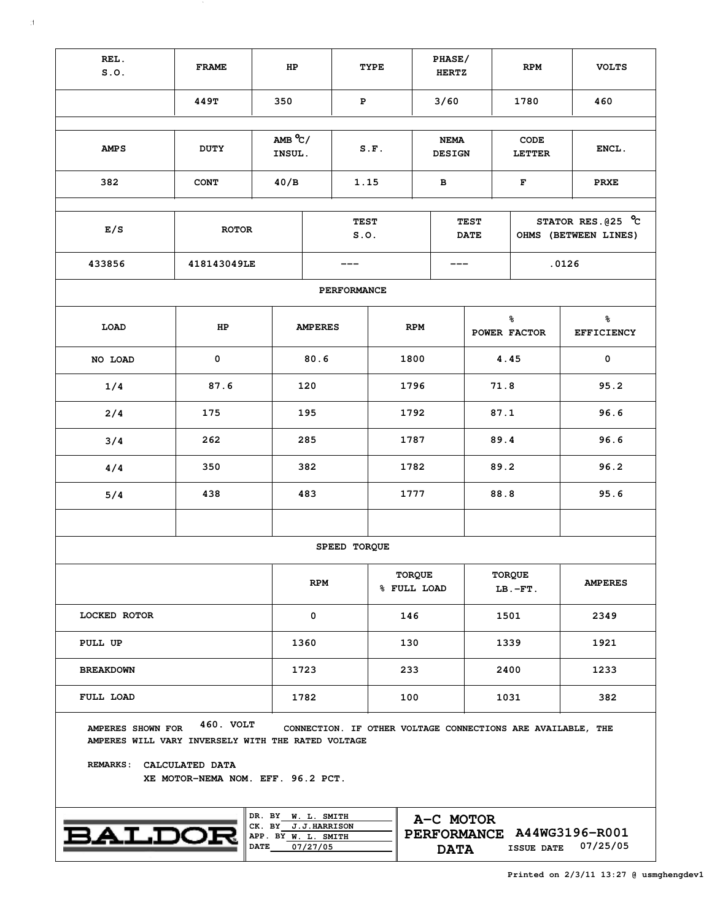| REL.<br>S.0.                                                                                        | <b>FRAME</b>                                   | HP        |                            |                     | TYPE                         |                              | PHASE/<br><b>HERTZ</b>     |                       | <b>RPM</b>                                                  |                                              | <b>VOLTS</b>   |  |  |
|-----------------------------------------------------------------------------------------------------|------------------------------------------------|-----------|----------------------------|---------------------|------------------------------|------------------------------|----------------------------|-----------------------|-------------------------------------------------------------|----------------------------------------------|----------------|--|--|
|                                                                                                     | 449T                                           | 350       |                            | ${\bf P}$           |                              |                              | 3/60                       |                       | 1780                                                        |                                              | 460            |  |  |
| <b>AMPS</b>                                                                                         | $AMB^oC/$<br>INSUL.                            |           | S.F.                       |                     |                              | <b>NEMA</b><br><b>DESIGN</b> |                            | CODE<br><b>LETTER</b> |                                                             | ENCL.                                        |                |  |  |
| 382                                                                                                 | <b>CONT</b>                                    | 40/B      |                            | 1.15                |                              |                              | в                          |                       | F                                                           |                                              | <b>PRXE</b>    |  |  |
| E/S                                                                                                 | <b>ROTOR</b>                                   |           |                            | <b>TEST</b><br>S.0. |                              |                              | <b>TEST</b><br><b>DATE</b> |                       |                                                             | STATOR RES. $025$ °C<br>OHMS (BETWEEN LINES) |                |  |  |
| 433856                                                                                              | 418143049LE                                    |           |                            |                     |                              |                              |                            |                       | .0126                                                       |                                              |                |  |  |
|                                                                                                     |                                                |           |                            | <b>PERFORMANCE</b>  |                              |                              |                            |                       |                                                             |                                              |                |  |  |
| LOAD                                                                                                | HP                                             |           | <b>AMPERES</b>             |                     | <b>RPM</b>                   |                              |                            | ቈ<br>POWER FACTOR     |                                                             | ቈ<br><b>EFFICIENCY</b>                       |                |  |  |
| NO LOAD                                                                                             | 0                                              |           | 80.6                       |                     |                              | 1800                         |                            |                       | 4.45                                                        |                                              | $\mathbf 0$    |  |  |
| 1/4                                                                                                 |                                                | 120       |                            | 1796                |                              |                              |                            | 71.8                  |                                                             | 95.2                                         |                |  |  |
| 2/4                                                                                                 | 175                                            |           | 195                        |                     |                              | 1792                         |                            |                       | 87.1                                                        |                                              | 96.6           |  |  |
| 3/4                                                                                                 | 262                                            |           | 285                        |                     | 1787                         |                              |                            |                       | 89.4                                                        |                                              | 96.6           |  |  |
| 4/4                                                                                                 | 350                                            |           | 382                        | 1782                |                              |                              |                            |                       | 89.2                                                        |                                              | 96.2           |  |  |
| 5/4                                                                                                 | 438                                            |           | 483                        |                     | 1777                         |                              |                            |                       | 88.8                                                        |                                              | 95.6           |  |  |
|                                                                                                     |                                                |           |                            | SPEED TORQUE        |                              |                              |                            |                       |                                                             |                                              |                |  |  |
|                                                                                                     |                                                |           | <b>RPM</b>                 |                     | <b>TORQUE</b><br>% FULL LOAD |                              |                            |                       | <b>TORQUE</b><br>$LB.-FT.$                                  |                                              | <b>AMPERES</b> |  |  |
| <b>LOCKED ROTOR</b>                                                                                 |                                                |           | 0                          |                     | 146                          |                              |                            |                       | 1501                                                        |                                              | 2349           |  |  |
| PULL UP                                                                                             |                                                |           | 1360                       |                     | 130                          |                              |                            |                       | 1339                                                        |                                              | 1921           |  |  |
| <b>BREAKDOWN</b>                                                                                    |                                                |           | 1723                       |                     | 233                          |                              |                            |                       | 2400                                                        |                                              | 1233           |  |  |
| <b>FULL LOAD</b>                                                                                    |                                                |           | 1782                       |                     |                              | 100                          |                            | 1031                  |                                                             |                                              | 382            |  |  |
| AMPERES SHOWN FOR<br>AMPERES WILL VARY INVERSELY WITH THE RATED VOLTAGE<br>REMARKS: CALCULATED DATA | 460. VOLT<br>XE MOTOR-NEMA NOM. EFF. 96.2 PCT. |           |                            |                     |                              |                              |                            |                       | CONNECTION. IF OTHER VOLTAGE CONNECTIONS ARE AVAILABLE, THE |                                              |                |  |  |
| <b>BALDOI</b>                                                                                       |                                                | A-C MOTOR | PERFORMANCE A44WG3196-R001 |                     |                              |                              |                            |                       |                                                             |                                              |                |  |  |

**DATE**

**07/27/05 07/25/05 DATA ISSUE DATE**

 $\sim$